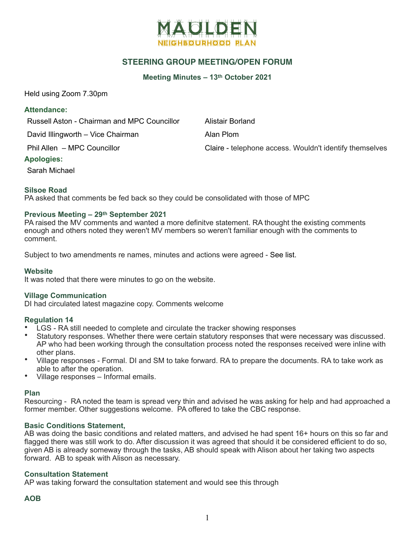

## **STEERING GROUP MEETING/OPEN FORUM**

**Meeting Minutes – 13th October 2021**

Held using Zoom 7.30pm

#### **Attendance:**

Russell Aston - Chairman and MPC Councillor Alistair Borland

David Illingworth – Vice Chairman Alan Plom

Phil Allen – MPC Councillor Councillor Claire - telephone access. Wouldn't identify themselves

## **Apologies:**

Sarah Michael

## **Silsoe Road**

PA asked that comments be fed back so they could be consolidated with those of MPC

## **Previous Meeting – 29th September 2021**

PA raised the MV comments and wanted a more definitve statement. RA thought the existing comments enough and others noted they weren't MV members so weren't familiar enough with the comments to comment.

Subject to two amendments re names, minutes and actions were agreed - See list.

#### **Website**

It was noted that there were minutes to go on the website.

#### **Village Communication**

DI had circulated latest magazine copy. Comments welcome

## **Regulation 14**

- LGS RA still needed to complete and circulate the tracker showing responses
- Statutory responses. Whether there were certain statutory responses that were necessary was discussed. AP who had been working through the consultation process noted the responses received were inline with other plans.
- Village responses Formal. DI and SM to take forward. RA to prepare the documents. RA to take work as able to after the operation.
- Village responses Informal emails.

#### **Plan**

Resourcing - RA noted the team is spread very thin and advised he was asking for help and had approached a former member. Other suggestions welcome. PA offered to take the CBC response.

## **Basic Conditions Statement,**

AB was doing the basic conditions and related matters, and advised he had spent 16+ hours on this so far and flagged there was still work to do. After discussion it was agreed that should it be considered efficient to do so, given AB is already someway through the tasks, AB should speak with Alison about her taking two aspects forward. AB to speak with Alison as necessary.

## **Consultation Statement**

AP was taking forward the consultation statement and would see this through